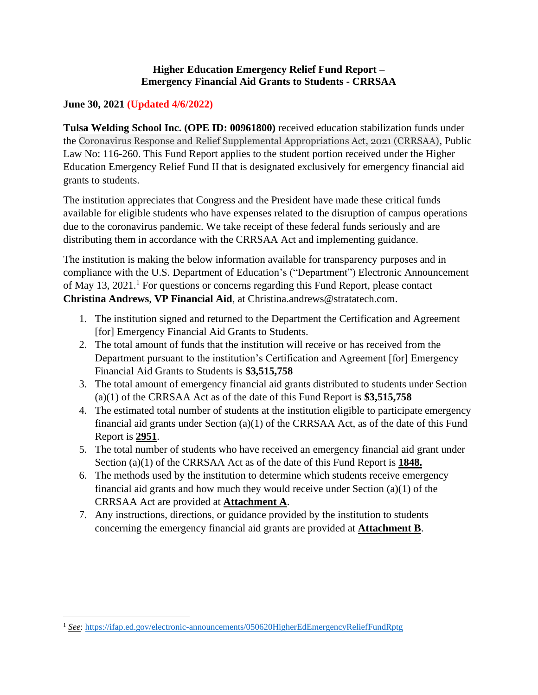#### **Higher Education Emergency Relief Fund Report – Emergency Financial Aid Grants to Students - CRRSAA**

#### **June 30, 2021 (Updated 4/6/2022)**

**Tulsa Welding School Inc. (OPE ID: 00961800)** received education stabilization funds under the Coronavirus Response and Relief Supplemental Appropriations Act, 2021 (CRRSAA), Public Law No: 116-260. This Fund Report applies to the student portion received under the Higher Education Emergency Relief Fund II that is designated exclusively for emergency financial aid grants to students.

The institution appreciates that Congress and the President have made these critical funds available for eligible students who have expenses related to the disruption of campus operations due to the coronavirus pandemic. We take receipt of these federal funds seriously and are distributing them in accordance with the CRRSAA Act and implementing guidance.

The institution is making the below information available for transparency purposes and in compliance with the U.S. Department of Education's ("Department") Electronic Announcement of May 13, 2021.<sup>1</sup> For questions or concerns regarding this Fund Report, please contact **Christina Andrews**, **VP Financial Aid**, at Christina.andrews@stratatech.com.

- 1. The institution signed and returned to the Department the Certification and Agreement [for] Emergency Financial Aid Grants to Students.
- 2. The total amount of funds that the institution will receive or has received from the Department pursuant to the institution's Certification and Agreement [for] Emergency Financial Aid Grants to Students is **\$3,515,758**
- 3. The total amount of emergency financial aid grants distributed to students under Section (a)(1) of the CRRSAA Act as of the date of this Fund Report is **\$3,515,758**
- 4. The estimated total number of students at the institution eligible to participate emergency financial aid grants under Section  $(a)(1)$  of the CRRSAA Act, as of the date of this Fund Report is **2951**.
- 5. The total number of students who have received an emergency financial aid grant under Section (a)(1) of the CRRSAA Act as of the date of this Fund Report is **1848.**
- 6. The methods used by the institution to determine which students receive emergency financial aid grants and how much they would receive under Section (a)(1) of the CRRSAA Act are provided at **Attachment A**.
- 7. Any instructions, directions, or guidance provided by the institution to students concerning the emergency financial aid grants are provided at **Attachment B**.

<sup>1</sup> *See*:<https://ifap.ed.gov/electronic-announcements/050620HigherEdEmergencyReliefFundRptg>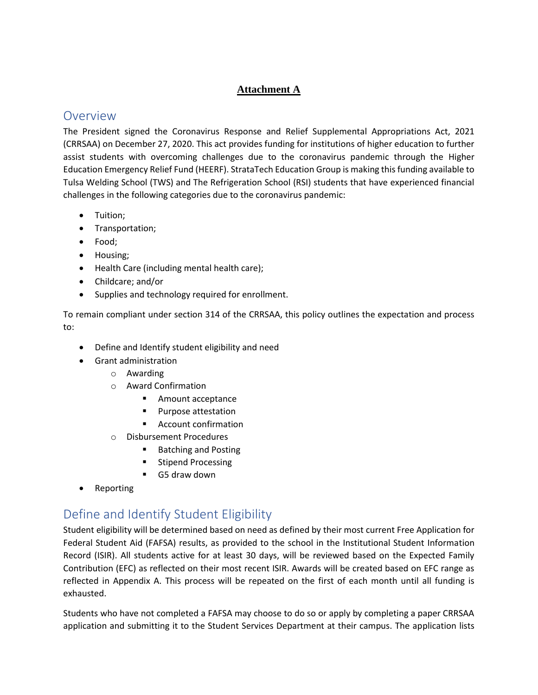#### **Attachment A**

### Overview

The President signed the Coronavirus Response and Relief Supplemental Appropriations Act, 2021 (CRRSAA) on December 27, 2020. This act provides funding for institutions of higher education to further assist students with overcoming challenges due to the coronavirus pandemic through the Higher Education Emergency Relief Fund (HEERF). StrataTech Education Group is making this funding available to Tulsa Welding School (TWS) and The Refrigeration School (RSI) students that have experienced financial challenges in the following categories due to the coronavirus pandemic:

- Tuition;
- Transportation;
- Food;
- Housing;
- Health Care (including mental health care);
- Childcare; and/or
- Supplies and technology required for enrollment.

To remain compliant under section 314 of the CRRSAA, this policy outlines the expectation and process to:

- Define and Identify student eligibility and need
- Grant administration
	- o Awarding
	- o Award Confirmation
		- Amount acceptance
		- Purpose attestation
		- Account confirmation
	- o Disbursement Procedures
		- **Batching and Posting**
		- Stipend Processing
		- G5 draw down
- Reporting

### Define and Identify Student Eligibility

Student eligibility will be determined based on need as defined by their most current Free Application for Federal Student Aid (FAFSA) results, as provided to the school in the Institutional Student Information Record (ISIR). All students active for at least 30 days, will be reviewed based on the Expected Family Contribution (EFC) as reflected on their most recent ISIR. Awards will be created based on EFC range as reflected in Appendix A. This process will be repeated on the first of each month until all funding is exhausted.

Students who have not completed a FAFSA may choose to do so or apply by completing a paper CRRSAA application and submitting it to the Student Services Department at their campus. The application lists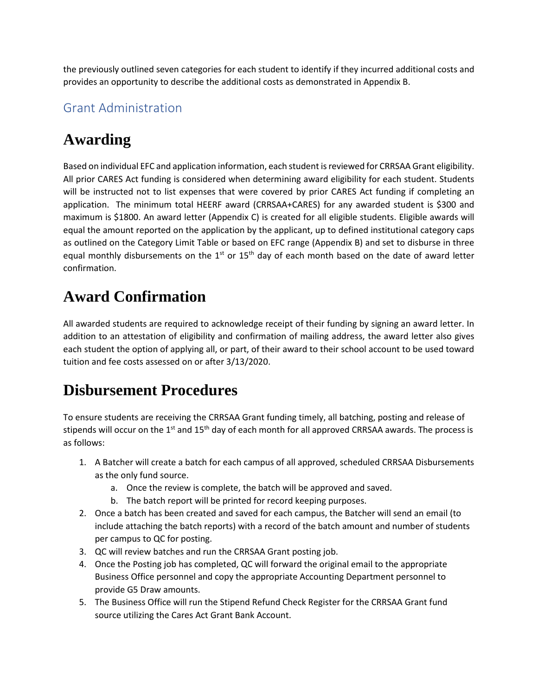the previously outlined seven categories for each student to identify if they incurred additional costs and provides an opportunity to describe the additional costs as demonstrated in Appendix B.

### Grant Administration

# **Awarding**

Based on individual EFC and application information, each student is reviewed for CRRSAA Grant eligibility. All prior CARES Act funding is considered when determining award eligibility for each student. Students will be instructed not to list expenses that were covered by prior CARES Act funding if completing an application. The minimum total HEERF award (CRRSAA+CARES) for any awarded student is \$300 and maximum is \$1800. An award letter (Appendix C) is created for all eligible students. Eligible awards will equal the amount reported on the application by the applicant, up to defined institutional category caps as outlined on the Category Limit Table or based on EFC range (Appendix B) and set to disburse in three equal monthly disbursements on the  $1<sup>st</sup>$  or  $15<sup>th</sup>$  day of each month based on the date of award letter confirmation.

# **Award Confirmation**

All awarded students are required to acknowledge receipt of their funding by signing an award letter. In addition to an attestation of eligibility and confirmation of mailing address, the award letter also gives each student the option of applying all, or part, of their award to their school account to be used toward tuition and fee costs assessed on or after 3/13/2020.

# **Disbursement Procedures**

To ensure students are receiving the CRRSAA Grant funding timely, all batching, posting and release of stipends will occur on the 1<sup>st</sup> and 15<sup>th</sup> day of each month for all approved CRRSAA awards. The process is as follows:

- 1. A Batcher will create a batch for each campus of all approved, scheduled CRRSAA Disbursements as the only fund source.
	- a. Once the review is complete, the batch will be approved and saved.
	- b. The batch report will be printed for record keeping purposes.
- 2. Once a batch has been created and saved for each campus, the Batcher will send an email (to include attaching the batch reports) with a record of the batch amount and number of students per campus to QC for posting.
- 3. QC will review batches and run the CRRSAA Grant posting job.
- 4. Once the Posting job has completed, QC will forward the original email to the appropriate Business Office personnel and copy the appropriate Accounting Department personnel to provide G5 Draw amounts.
- 5. The Business Office will run the Stipend Refund Check Register for the CRRSAA Grant fund source utilizing the Cares Act Grant Bank Account.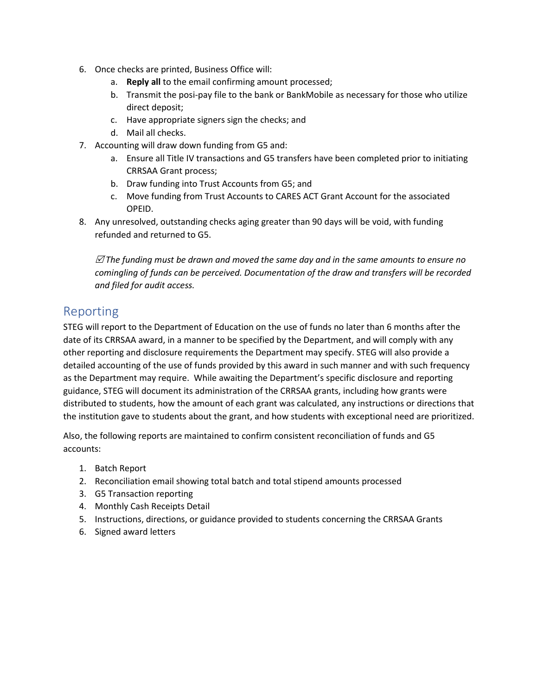- 6. Once checks are printed, Business Office will:
	- a. **Reply all** to the email confirming amount processed;
	- b. Transmit the posi-pay file to the bank or BankMobile as necessary for those who utilize direct deposit;
	- c. Have appropriate signers sign the checks; and
	- d. Mail all checks.
- 7. Accounting will draw down funding from G5 and:
	- a. Ensure all Title IV transactions and G5 transfers have been completed prior to initiating CRRSAA Grant process;
	- b. Draw funding into Trust Accounts from G5; and
	- c. Move funding from Trust Accounts to CARES ACT Grant Account for the associated OPEID.
- 8. Any unresolved, outstanding checks aging greater than 90 days will be void, with funding refunded and returned to G5.

 *The funding must be drawn and moved the same day and in the same amounts to ensure no comingling of funds can be perceived. Documentation of the draw and transfers will be recorded and filed for audit access.*

### Reporting

STEG will report to the Department of Education on the use of funds no later than 6 months after the date of its CRRSAA award, in a manner to be specified by the Department, and will comply with any other reporting and disclosure requirements the Department may specify. STEG will also provide a detailed accounting of the use of funds provided by this award in such manner and with such frequency as the Department may require. While awaiting the Department's specific disclosure and reporting guidance, STEG will document its administration of the CRRSAA grants, including how grants were distributed to students, how the amount of each grant was calculated, any instructions or directions that the institution gave to students about the grant, and how students with exceptional need are prioritized.

Also, the following reports are maintained to confirm consistent reconciliation of funds and G5 accounts:

- 1. Batch Report
- 2. Reconciliation email showing total batch and total stipend amounts processed
- 3. G5 Transaction reporting
- 4. Monthly Cash Receipts Detail
- 5. Instructions, directions, or guidance provided to students concerning the CRRSAA Grants
- 6. Signed award letters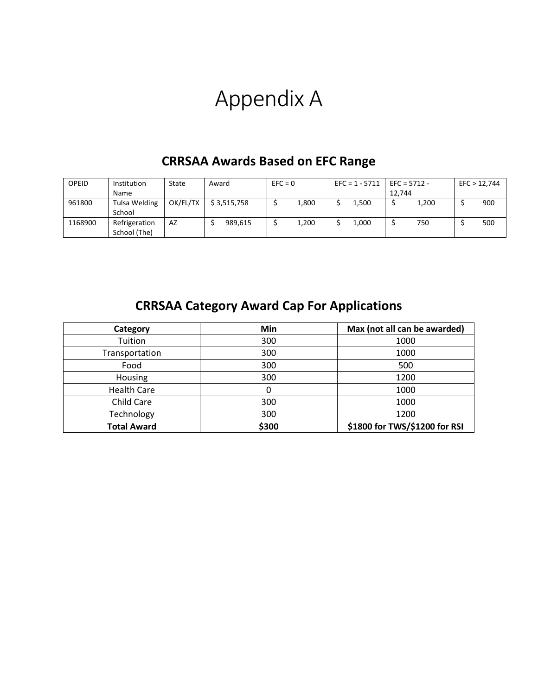# Appendix A

| <b>OPEID</b> | Institution   | State    | Award       | $EFC = 0$ |       | $EFC = 1 - 5711$ |       | $EFC = 5712 -$ |       | EFC > 12,744 |  |
|--------------|---------------|----------|-------------|-----------|-------|------------------|-------|----------------|-------|--------------|--|
|              | Name          |          |             |           |       |                  |       | 12.744         |       |              |  |
| 961800       | Tulsa Welding | OK/FL/TX | \$3.515.758 |           | 1,800 |                  | 1.500 |                | 1,200 | 900          |  |
|              | School        |          |             |           |       |                  |       |                |       |              |  |
| 1168900      | Refrigeration | AZ       | 989.615     |           | 1,200 |                  | 1,000 |                | 750   | 500          |  |
|              | School (The)  |          |             |           |       |                  |       |                |       |              |  |

## **CRRSAA Awards Based on EFC Range**

# **CRRSAA Category Award Cap For Applications**

| Category           | Min   | Max (not all can be awarded)  |  |  |  |
|--------------------|-------|-------------------------------|--|--|--|
| Tuition            | 300   | 1000                          |  |  |  |
| Transportation     | 300   | 1000                          |  |  |  |
| Food               | 300   | 500                           |  |  |  |
| Housing            | 300   | 1200                          |  |  |  |
| <b>Health Care</b> |       | 1000                          |  |  |  |
| Child Care         | 300   | 1000                          |  |  |  |
| Technology         | 300   | 1200                          |  |  |  |
| <b>Total Award</b> | \$300 | \$1800 for TWS/\$1200 for RSI |  |  |  |